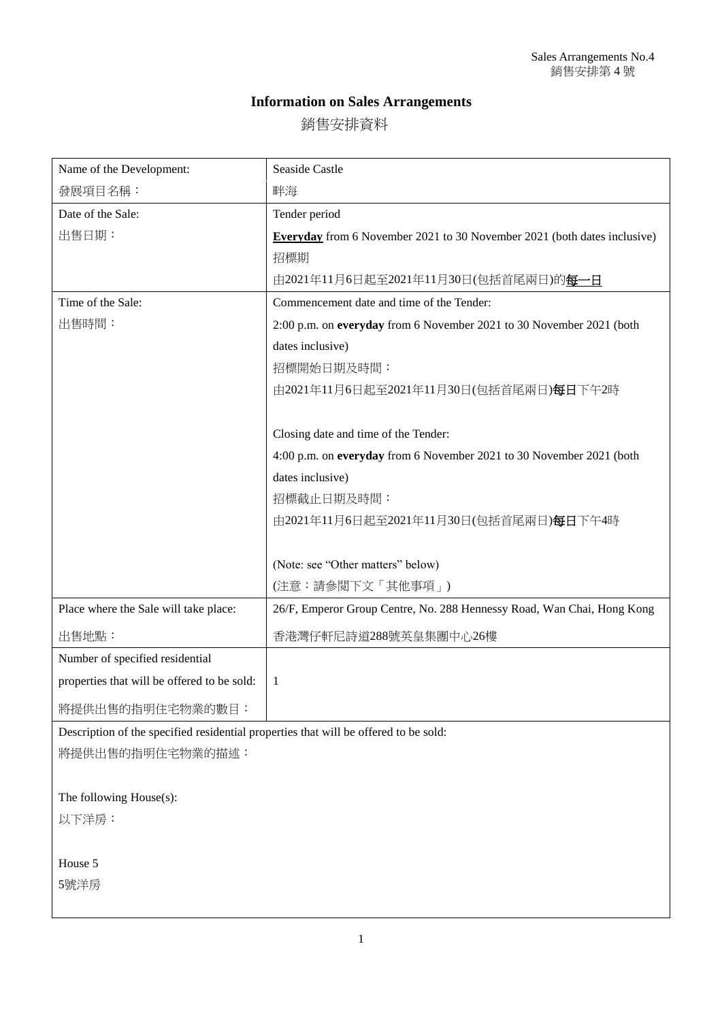## **Information on Sales Arrangements**

銷售安排資料

| Name of the Development:                    | Seaside Castle                                                                  |
|---------------------------------------------|---------------------------------------------------------------------------------|
| 發展項目名稱:                                     | 畔海                                                                              |
| Date of the Sale:                           | Tender period                                                                   |
| 出售日期:                                       | <b>Everyday</b> from 6 November 2021 to 30 November 2021 (both dates inclusive) |
|                                             | 招標期                                                                             |
|                                             | 由2021年11月6日起至2021年11月30日(包括首尾兩日)的每一日                                            |
| Time of the Sale:                           | Commencement date and time of the Tender:                                       |
| 出售時間:                                       | 2:00 p.m. on everyday from 6 November 2021 to 30 November 2021 (both            |
|                                             | dates inclusive)                                                                |
|                                             | 招標開始日期及時間:                                                                      |
|                                             | 由2021年11月6日起至2021年11月30日(包括首尾兩日)每日下午2時                                          |
|                                             |                                                                                 |
|                                             | Closing date and time of the Tender:                                            |
|                                             | 4:00 p.m. on everyday from 6 November 2021 to 30 November 2021 (both            |
|                                             | dates inclusive)                                                                |
|                                             | 招標截止日期及時間:                                                                      |
|                                             | 由2021年11月6日起至2021年11月30日(包括首尾兩日)每日下午4時                                          |
|                                             |                                                                                 |
|                                             | (Note: see "Other matters" below)                                               |
|                                             | (注意:請參閲下文「其他事項」)                                                                |
| Place where the Sale will take place:       | 26/F, Emperor Group Centre, No. 288 Hennessy Road, Wan Chai, Hong Kong          |
| 出售地點:                                       | 香港灣仔軒尼詩道288號英皇集團中心26樓                                                           |
| Number of specified residential             |                                                                                 |
| properties that will be offered to be sold: | -1                                                                              |
| 將提供出售的指明住宅物業的數目:                            |                                                                                 |

Description of the specified residential properties that will be offered to be sold:

將提供出售的指明住宅物業的描述:

The following House(s):

以下洋房:

House 5 5號洋房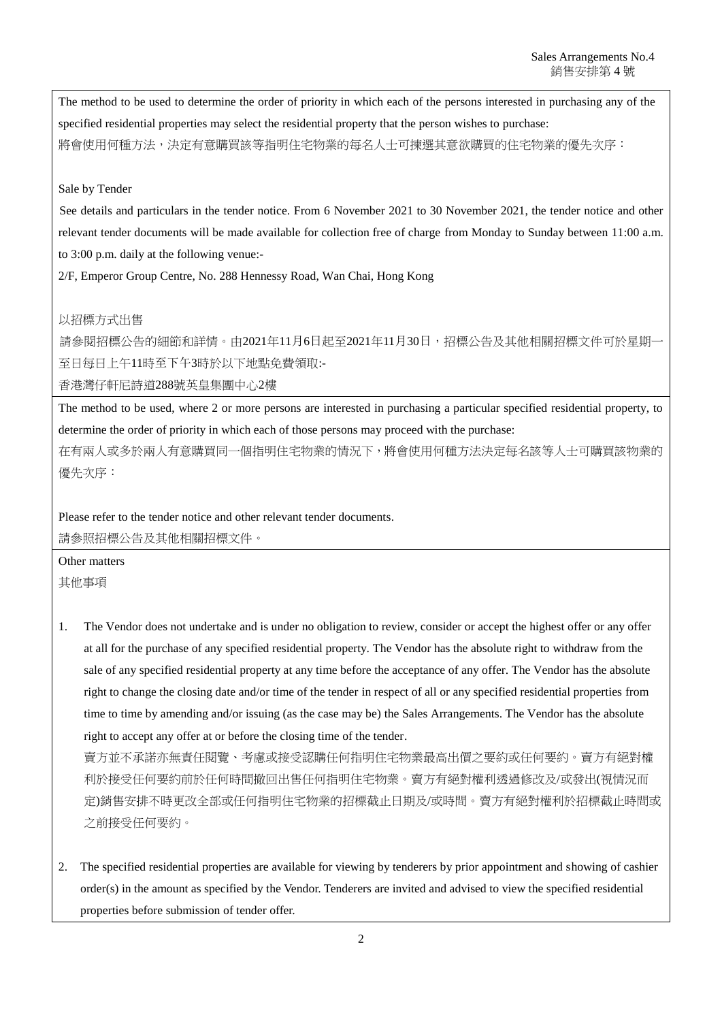The method to be used to determine the order of priority in which each of the persons interested in purchasing any of the specified residential properties may select the residential property that the person wishes to purchase: 將會使用何種方法,決定有意購買該等指明住宅物業的每名人士可揀選其意欲購買的住宅物業的優先次序:

## Sale by Tender

See details and particulars in the tender notice. From 6 November 2021 to 30 November 2021, the tender notice and other relevant tender documents will be made available for collection free of charge from Monday to Sunday between 11:00 a.m. to 3:00 p.m. daily at the following venue:-

2/F, Emperor Group Centre, No. 288 Hennessy Road, Wan Chai, Hong Kong

## 以招標方式出售

請參閱招標公告的細節和詳情。由2021年11月6日起至2021年11月30日,招標公告及其他相關招標文件可於星期一 至日每日上午11時至下午3時於以下地點免費領取:-

香港灣仔軒尼詩道288號英皇集團中心2樓

The method to be used, where 2 or more persons are interested in purchasing a particular specified residential property, to determine the order of priority in which each of those persons may proceed with the purchase:

在有兩人或多於兩人有意購買同一個指明住宅物業的情況下,將會使用何種方法決定每名該等人士可購買該物業的 優先次序:

Please refer to the tender notice and other relevant tender documents. 請參照招標公告及其他相關招標文件。

Other matters 其他事項

1. The Vendor does not undertake and is under no obligation to review, consider or accept the highest offer or any offer at all for the purchase of any specified residential property. The Vendor has the absolute right to withdraw from the sale of any specified residential property at any time before the acceptance of any offer. The Vendor has the absolute right to change the closing date and/or time of the tender in respect of all or any specified residential properties from time to time by amending and/or issuing (as the case may be) the Sales Arrangements. The Vendor has the absolute right to accept any offer at or before the closing time of the tender.

賣方並不承諾亦無責任閱覽、考慮或接受認購任何指明住宅物業最高出價之要約或任何要約。賣方有絕對權 利於接受任何要約前於任何時間撤回出售任何指明住宅物業。賣方有絕對權利透過修改及/或發出(視情況而 定)銷售安排不時更改全部或任何指明住宅物業的招標截止日期及/或時間。賣方有絕對權利於招標截止時間或 之前接受任何要約。

2. The specified residential properties are available for viewing by tenderers by prior appointment and showing of cashier order(s) in the amount as specified by the Vendor. Tenderers are invited and advised to view the specified residential properties before submission of tender offer.